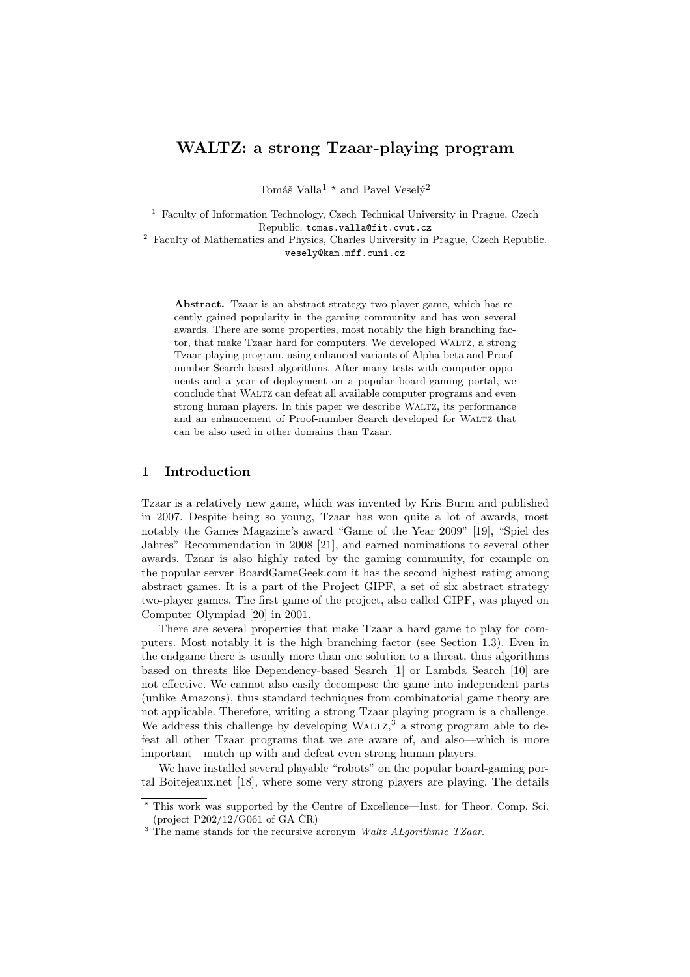# WALTZ: a strong Tzaar-playing program

Tomáš Valla<br/> $^1$   $^\star$  and Pavel Vesely<br/>^2

<sup>1</sup> Faculty of Information Technology, Czech Technical University in Prague, Czech Republic. tomas.valla@fit.cvut.cz

<sup>2</sup> Faculty of Mathematics and Physics, Charles University in Prague, Czech Republic. vesely@kam.mff.cuni.cz

Abstract. Tzaar is an abstract strategy two-player game, which has recently gained popularity in the gaming community and has won several awards. There are some properties, most notably the high branching factor, that make Tzaar hard for computers. We developed Waltz, a strong Tzaar-playing program, using enhanced variants of Alpha-beta and Proofnumber Search based algorithms. After many tests with computer opponents and a year of deployment on a popular board-gaming portal, we conclude that Waltz can defeat all available computer programs and even strong human players. In this paper we describe Waltz, its performance and an enhancement of Proof-number Search developed for Waltz that can be also used in other domains than Tzaar.

### 1 Introduction

Tzaar is a relatively new game, which was invented by Kris Burm and published in 2007. Despite being so young, Tzaar has won quite a lot of awards, most notably the Games Magazine's award "Game of the Year 2009" [19], "Spiel des Jahres" Recommendation in 2008 [21], and earned nominations to several other awards. Tzaar is also highly rated by the gaming community, for example on the popular server BoardGameGeek.com it has the second highest rating among abstract games. It is a part of the Project GIPF, a set of six abstract strategy two-player games. The first game of the project, also called GIPF, was played on Computer Olympiad [20] in 2001.

There are several properties that make Tzaar a hard game to play for computers. Most notably it is the high branching factor (see Section 1.3). Even in the endgame there is usually more than one solution to a threat, thus algorithms based on threats like Dependency-based Search [1] or Lambda Search [10] are not effective. We cannot also easily decompose the game into independent parts (unlike Amazons), thus standard techniques from combinatorial game theory are not applicable. Therefore, writing a strong Tzaar playing program is a challenge. We address this challenge by developing WALTZ,<sup>3</sup> a strong program able to defeat all other Tzaar programs that we are aware of, and also—which is more important—match up with and defeat even strong human players.

We have installed several playable "robots" on the popular board-gaming portal Boitejeaux.net [18], where some very strong players are playing. The details

This work was supported by the Centre of Excellence—Inst. for Theor. Comp. Sci. (project  $P202/12/G061$  of GA  $\check{C}R$ )

 $3$  The name stands for the recursive acronym *Waltz ALgorithmic TZaar*.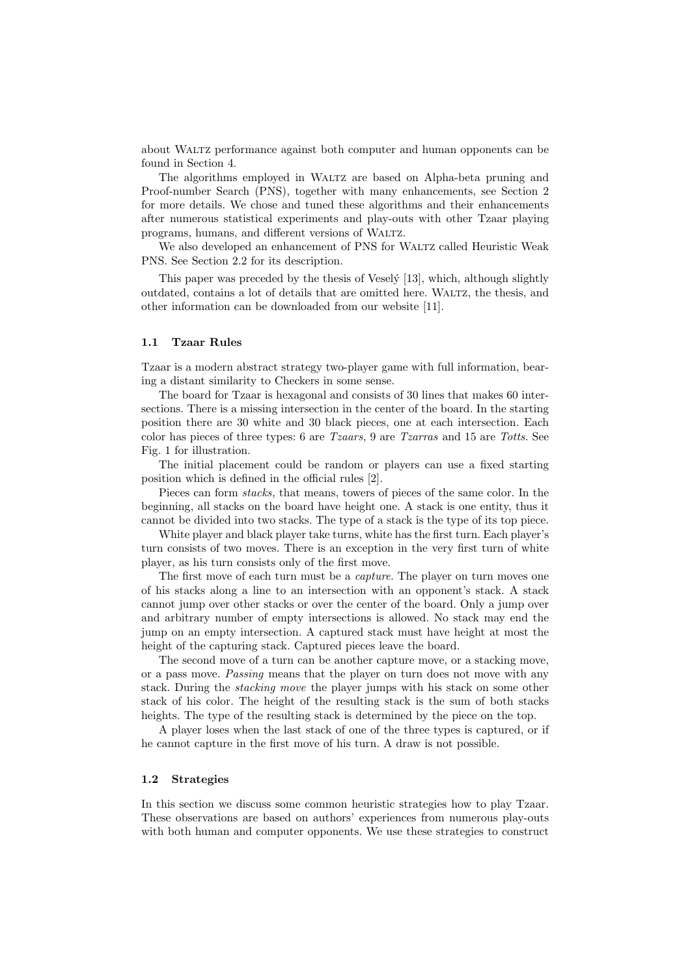about Waltz performance against both computer and human opponents can be found in Section 4.

The algorithms employed in Waltz are based on Alpha-beta pruning and Proof-number Search (PNS), together with many enhancements, see Section 2 for more details. We chose and tuned these algorithms and their enhancements after numerous statistical experiments and play-outs with other Tzaar playing programs, humans, and different versions of Waltz.

We also developed an enhancement of PNS for Waltz called Heuristic Weak PNS. See Section 2.2 for its description.

This paper was preceded by the thesis of Vesel $\circ$  [13], which, although slightly outdated, contains a lot of details that are omitted here. Waltz, the thesis, and other information can be downloaded from our website [11].

#### 1.1 Tzaar Rules

Tzaar is a modern abstract strategy two-player game with full information, bearing a distant similarity to Checkers in some sense.

The board for Tzaar is hexagonal and consists of 30 lines that makes 60 intersections. There is a missing intersection in the center of the board. In the starting position there are 30 white and 30 black pieces, one at each intersection. Each color has pieces of three types: 6 are Tzaars, 9 are Tzarras and 15 are Totts. See Fig. 1 for illustration.

The initial placement could be random or players can use a fixed starting position which is defined in the official rules [2].

Pieces can form *stacks*, that means, towers of pieces of the same color. In the beginning, all stacks on the board have height one. A stack is one entity, thus it cannot be divided into two stacks. The type of a stack is the type of its top piece.

White player and black player take turns, white has the first turn. Each player's turn consists of two moves. There is an exception in the very first turn of white player, as his turn consists only of the first move.

The first move of each turn must be a capture. The player on turn moves one of his stacks along a line to an intersection with an opponent's stack. A stack cannot jump over other stacks or over the center of the board. Only a jump over and arbitrary number of empty intersections is allowed. No stack may end the jump on an empty intersection. A captured stack must have height at most the height of the capturing stack. Captured pieces leave the board.

The second move of a turn can be another capture move, or a stacking move, or a pass move. Passing means that the player on turn does not move with any stack. During the stacking move the player jumps with his stack on some other stack of his color. The height of the resulting stack is the sum of both stacks heights. The type of the resulting stack is determined by the piece on the top.

A player loses when the last stack of one of the three types is captured, or if he cannot capture in the first move of his turn. A draw is not possible.

#### 1.2 Strategies

In this section we discuss some common heuristic strategies how to play Tzaar. These observations are based on authors' experiences from numerous play-outs with both human and computer opponents. We use these strategies to construct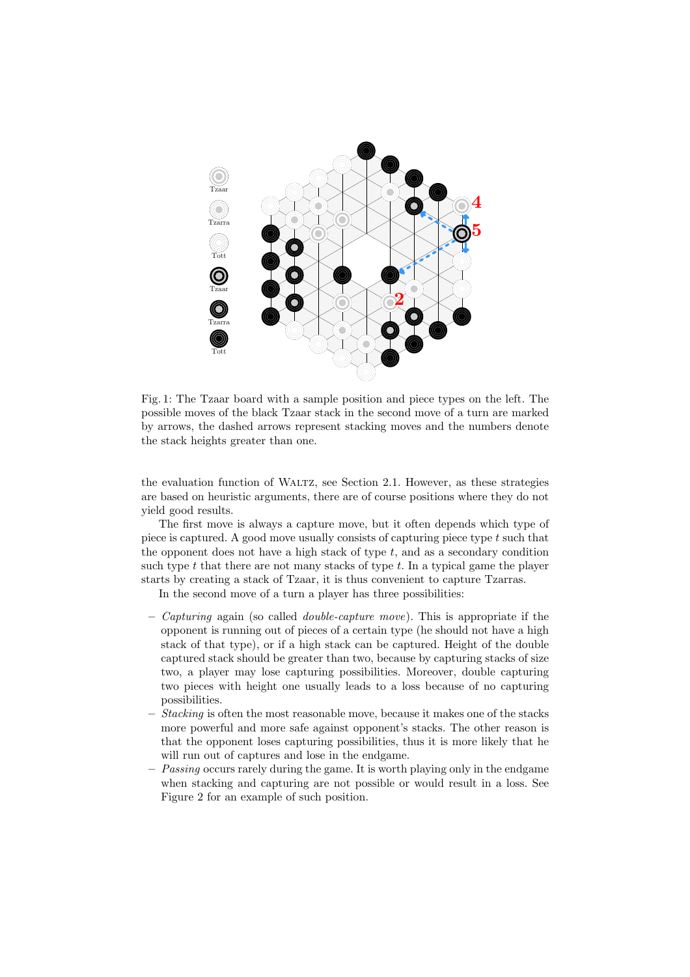

Fig. 1: The Tzaar board with a sample position and piece types on the left. The possible moves of the black Tzaar stack in the second move of a turn are marked by arrows, the dashed arrows represent stacking moves and the numbers denote the stack heights greater than one.

the evaluation function of Waltz, see Section 2.1. However, as these strategies are based on heuristic arguments, there are of course positions where they do not yield good results.

The first move is always a capture move, but it often depends which type of piece is captured. A good move usually consists of capturing piece type  $t$  such that the opponent does not have a high stack of type  $t$ , and as a secondary condition such type t that there are not many stacks of type t. In a typical game the player starts by creating a stack of Tzaar, it is thus convenient to capture Tzarras.

In the second move of a turn a player has three possibilities:

- $-$  Capturing again (so called *double-capture move*). This is appropriate if the opponent is running out of pieces of a certain type (he should not have a high stack of that type), or if a high stack can be captured. Height of the double captured stack should be greater than two, because by capturing stacks of size two, a player may lose capturing possibilities. Moreover, double capturing two pieces with height one usually leads to a loss because of no capturing possibilities.
- $-$  *Stacking* is often the most reasonable move, because it makes one of the stacks more powerful and more safe against opponent's stacks. The other reason is that the opponent loses capturing possibilities, thus it is more likely that he will run out of captures and lose in the endgame.
- $-$  Passing occurs rarely during the game. It is worth playing only in the endgame when stacking and capturing are not possible or would result in a loss. See Figure 2 for an example of such position.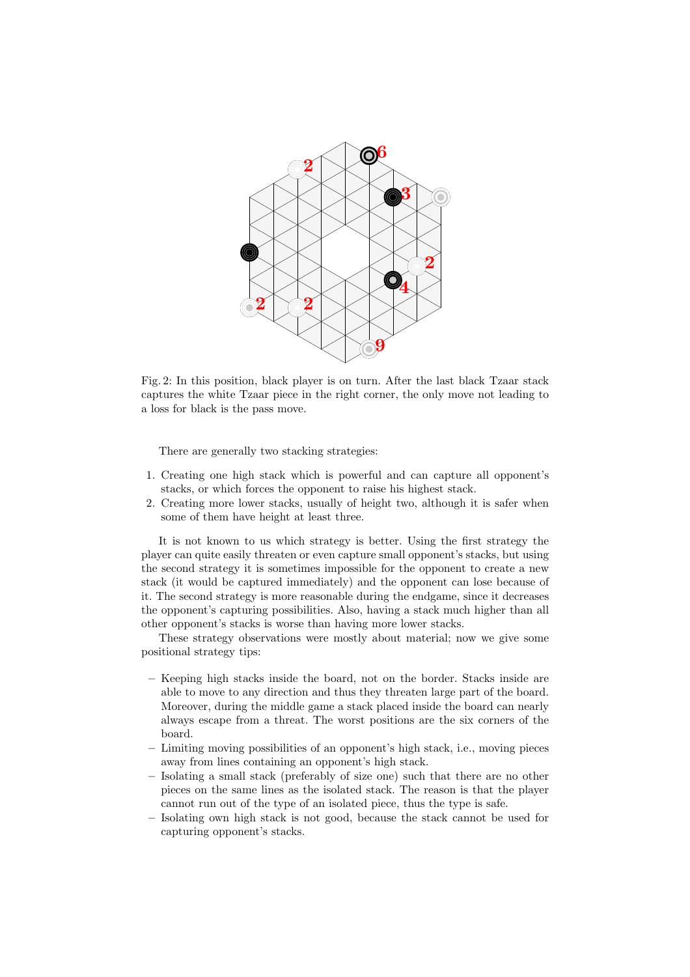

Fig. 2: In this position, black player is on turn. After the last black Tzaar stack captures the white Tzaar piece in the right corner, the only move not leading to a loss for black is the pass move.

There are generally two stacking strategies:

- 1. Creating one high stack which is powerful and can capture all opponent's stacks, or which forces the opponent to raise his highest stack.
- 2. Creating more lower stacks, usually of height two, although it is safer when some of them have height at least three.

It is not known to us which strategy is better. Using the first strategy the player can quite easily threaten or even capture small opponent's stacks, but using the second strategy it is sometimes impossible for the opponent to create a new stack (it would be captured immediately) and the opponent can lose because of it. The second strategy is more reasonable during the endgame, since it decreases the opponent's capturing possibilities. Also, having a stack much higher than all other opponent's stacks is worse than having more lower stacks.

These strategy observations were mostly about material; now we give some positional strategy tips:

- Keeping high stacks inside the board, not on the border. Stacks inside are able to move to any direction and thus they threaten large part of the board. Moreover, during the middle game a stack placed inside the board can nearly always escape from a threat. The worst positions are the six corners of the board.
- Limiting moving possibilities of an opponent's high stack, i.e., moving pieces away from lines containing an opponent's high stack.
- Isolating a small stack (preferably of size one) such that there are no other pieces on the same lines as the isolated stack. The reason is that the player cannot run out of the type of an isolated piece, thus the type is safe.
- Isolating own high stack is not good, because the stack cannot be used for capturing opponent's stacks.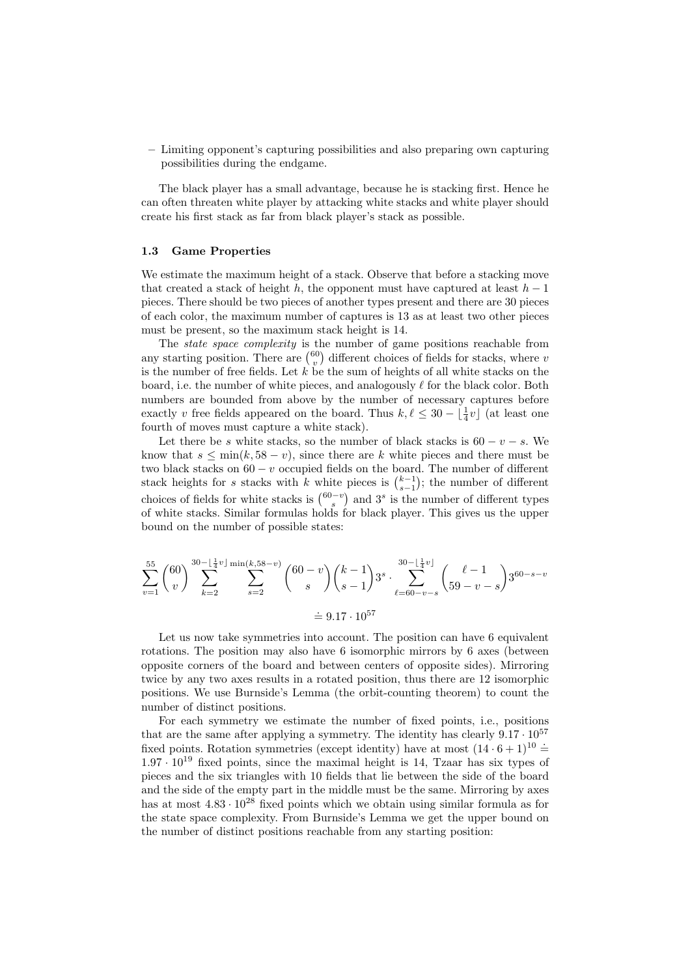– Limiting opponent's capturing possibilities and also preparing own capturing possibilities during the endgame.

The black player has a small advantage, because he is stacking first. Hence he can often threaten white player by attacking white stacks and white player should create his first stack as far from black player's stack as possible.

#### 1.3 Game Properties

We estimate the maximum height of a stack. Observe that before a stacking move that created a stack of height h, the opponent must have captured at least  $h-1$ pieces. There should be two pieces of another types present and there are 30 pieces of each color, the maximum number of captures is 13 as at least two other pieces must be present, so the maximum stack height is 14.

The state space complexity is the number of game positions reachable from any starting position. There are  $\binom{60}{v}$  different choices of fields for stacks, where v is the number of free fields. Let  $k$  be the sum of heights of all white stacks on the board, i.e. the number of white pieces, and analogously  $\ell$  for the black color. Both numbers are bounded from above by the number of necessary captures before exactly v free fields appeared on the board. Thus  $k, \ell \leq 30 - \lfloor \frac{1}{4}v \rfloor$  (at least one fourth of moves must capture a white stack).

Let there be s white stacks, so the number of black stacks is  $60 - v - s$ . We know that  $s \leq \min(k, 58 - v)$ , since there are k white pieces and there must be two black stacks on  $60 - v$  occupied fields on the board. The number of different stack heights for s stacks with k white pieces is  $\binom{k-1}{s-1}$ ; the number of different choices of fields for white stacks is  $\binom{60-v}{s}$  and 3<sup>s</sup> is the number of different types of white stacks. Similar formulas holds for black player. This gives us the upper bound on the number of possible states:

$$
\sum_{v=1}^{55} {60 \choose v} \sum_{k=2}^{30 - \lfloor \frac{1}{4}v \rfloor} \sum_{s=2}^{\min(k, 58 - v)} {60 - v \choose s} {k - 1 \choose s - 1} 3^s \cdot \sum_{\ell=60 - v - s}^{30 - \lfloor \frac{1}{4}v \rfloor} {60 - v \choose 59 - v - s} 3^{60 - s - v}
$$
  

$$
\doteq 9.17 \cdot 10^{57}
$$

Let us now take symmetries into account. The position can have 6 equivalent rotations. The position may also have 6 isomorphic mirrors by 6 axes (between opposite corners of the board and between centers of opposite sides). Mirroring twice by any two axes results in a rotated position, thus there are 12 isomorphic positions. We use Burnside's Lemma (the orbit-counting theorem) to count the number of distinct positions.

For each symmetry we estimate the number of fixed points, i.e., positions that are the same after applying a symmetry. The identity has clearly  $9.17 \cdot 10^{57}$ fixed points. Rotation symmetries (except identity) have at most  $(14 \cdot 6 + 1)^{10} \doteq$  $1.97 \cdot 10^{19}$  fixed points, since the maximal height is 14, Tzaar has six types of pieces and the six triangles with 10 fields that lie between the side of the board and the side of the empty part in the middle must be the same. Mirroring by axes has at most  $4.83 \cdot 10^{28}$  fixed points which we obtain using similar formula as for the state space complexity. From Burnside's Lemma we get the upper bound on the number of distinct positions reachable from any starting position: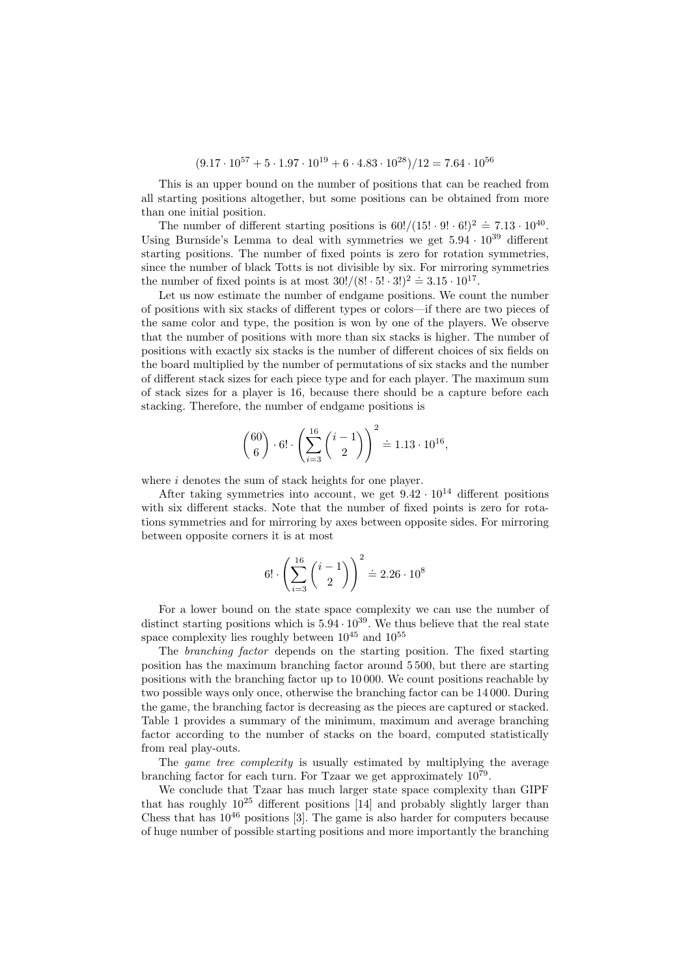$(9.17 \cdot 10^{57} + 5 \cdot 1.97 \cdot 10^{19} + 6 \cdot 4.83 \cdot 10^{28})/12 = 7.64 \cdot 10^{56}$ 

This is an upper bound on the number of positions that can be reached from all starting positions altogether, but some positions can be obtained from more than one initial position.

The number of different starting positions is  $60!/(15! \cdot 9! \cdot 6!)^2 = 7.13 \cdot 10^{40}$ . Using Burnside's Lemma to deal with symmetries we get  $5.94 \cdot 10^{39}$  different starting positions. The number of fixed points is zero for rotation symmetries, since the number of black Totts is not divisible by six. For mirroring symmetries the number of fixed points is at most  $30!/(8! \cdot 5! \cdot 3!)^2 = 3.15 \cdot 10^{17}$ .

Let us now estimate the number of endgame positions. We count the number of positions with six stacks of different types or colors—if there are two pieces of the same color and type, the position is won by one of the players. We observe that the number of positions with more than six stacks is higher. The number of positions with exactly six stacks is the number of different choices of six fields on the board multiplied by the number of permutations of six stacks and the number of different stack sizes for each piece type and for each player. The maximum sum of stack sizes for a player is 16, because there should be a capture before each stacking. Therefore, the number of endgame positions is

$$
\binom{60}{6} \cdot 6! \cdot \left(\sum_{i=3}^{16} \binom{i-1}{2}\right)^2 \doteq 1.13 \cdot 10^{16},
$$

where i denotes the sum of stack heights for one player.

After taking symmetries into account, we get  $9.42 \cdot 10^{14}$  different positions with six different stacks. Note that the number of fixed points is zero for rotations symmetries and for mirroring by axes between opposite sides. For mirroring between opposite corners it is at most

$$
6! \cdot \left( \sum_{i=3}^{16} {i-1 \choose 2} \right)^2 \doteq 2.26 \cdot 10^8
$$

For a lower bound on the state space complexity we can use the number of distinct starting positions which is  $5.94 \cdot 10^{39}$ . We thus believe that the real state space complexity lies roughly between  $10^{45}$  and  $10^{55}\,$ 

The branching factor depends on the starting position. The fixed starting position has the maximum branching factor around 5 500, but there are starting positions with the branching factor up to 10 000. We count positions reachable by two possible ways only once, otherwise the branching factor can be 14 000. During the game, the branching factor is decreasing as the pieces are captured or stacked. Table 1 provides a summary of the minimum, maximum and average branching factor according to the number of stacks on the board, computed statistically from real play-outs.

The *game tree complexity* is usually estimated by multiplying the average branching factor for each turn. For Tzaar we get approximately  $10^{79}$ .

We conclude that Tzaar has much larger state space complexity than GIPF that has roughly  $10^{25}$  different positions [14] and probably slightly larger than Chess that has  $10^{46}$  positions [3]. The game is also harder for computers because of huge number of possible starting positions and more importantly the branching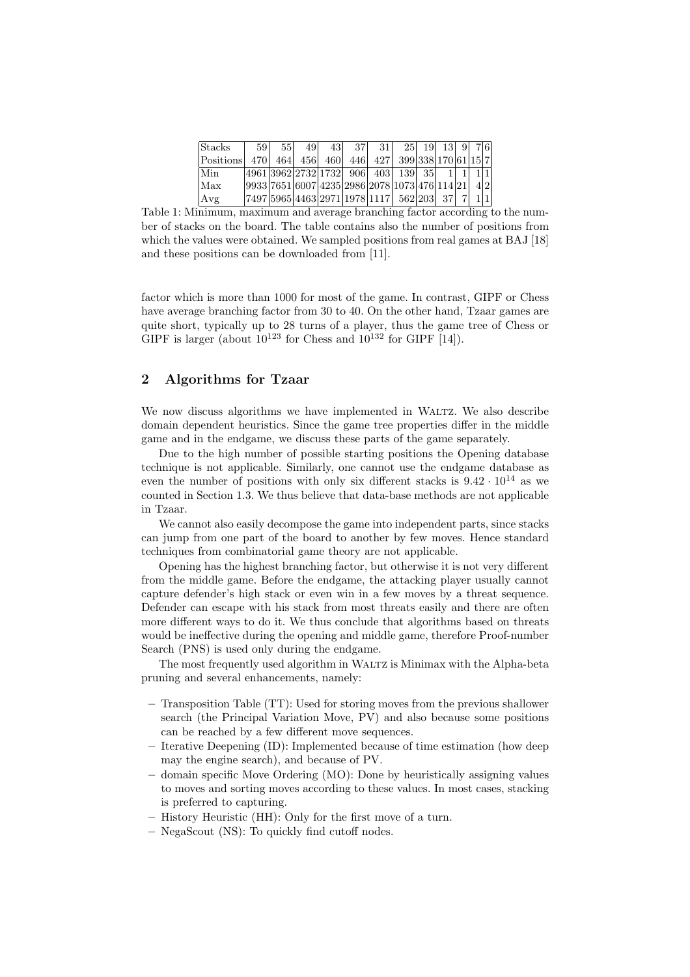| <b>Stacks</b> | 59 <sub>1</sub> | 55 | 491                                           | 431 | 371 | 31 L                        | 25 19 13 9 7 6 |     |  |     |
|---------------|-----------------|----|-----------------------------------------------|-----|-----|-----------------------------|----------------|-----|--|-----|
| Positions     | 4701            |    | 464 456 460                                   |     |     | 446 427 399 338 170 61 15 7 |                |     |  |     |
| Min           |                 |    | 4961 3962 2732 1732  906  403  139  35        |     |     |                             |                |     |  |     |
| Max           |                 |    | 9933 7651 6007 4235 2986 2078 1073 476 114 21 |     |     |                             |                |     |  | 4 2 |
| Avg           |                 |    | 7497 5965 4463 2971 1978 1117  562 203        |     |     |                             |                | -37 |  |     |

Table 1: Minimum, maximum and average branching factor according to the number of stacks on the board. The table contains also the number of positions from which the values were obtained. We sampled positions from real games at BAJ [18] and these positions can be downloaded from [11].

factor which is more than 1000 for most of the game. In contrast, GIPF or Chess have average branching factor from 30 to 40. On the other hand, Tzaar games are quite short, typically up to 28 turns of a player, thus the game tree of Chess or GIPF is larger (about  $10^{123}$  for Chess and  $10^{132}$  for GIPF [14]).

# 2 Algorithms for Tzaar

We now discuss algorithms we have implemented in Waltz. We also describe domain dependent heuristics. Since the game tree properties differ in the middle game and in the endgame, we discuss these parts of the game separately.

Due to the high number of possible starting positions the Opening database technique is not applicable. Similarly, one cannot use the endgame database as even the number of positions with only six different stacks is  $9.42 \cdot 10^{14}$  as we counted in Section 1.3. We thus believe that data-base methods are not applicable in Tzaar.

We cannot also easily decompose the game into independent parts, since stacks can jump from one part of the board to another by few moves. Hence standard techniques from combinatorial game theory are not applicable.

Opening has the highest branching factor, but otherwise it is not very different from the middle game. Before the endgame, the attacking player usually cannot capture defender's high stack or even win in a few moves by a threat sequence. Defender can escape with his stack from most threats easily and there are often more different ways to do it. We thus conclude that algorithms based on threats would be ineffective during the opening and middle game, therefore Proof-number Search (PNS) is used only during the endgame.

The most frequently used algorithm in Waltz is Minimax with the Alpha-beta pruning and several enhancements, namely:

- Transposition Table (TT): Used for storing moves from the previous shallower search (the Principal Variation Move, PV) and also because some positions can be reached by a few different move sequences.
- Iterative Deepening (ID): Implemented because of time estimation (how deep may the engine search), and because of PV.
- domain specific Move Ordering (MO): Done by heuristically assigning values to moves and sorting moves according to these values. In most cases, stacking is preferred to capturing.
- History Heuristic (HH): Only for the first move of a turn.
- NegaScout (NS): To quickly find cutoff nodes.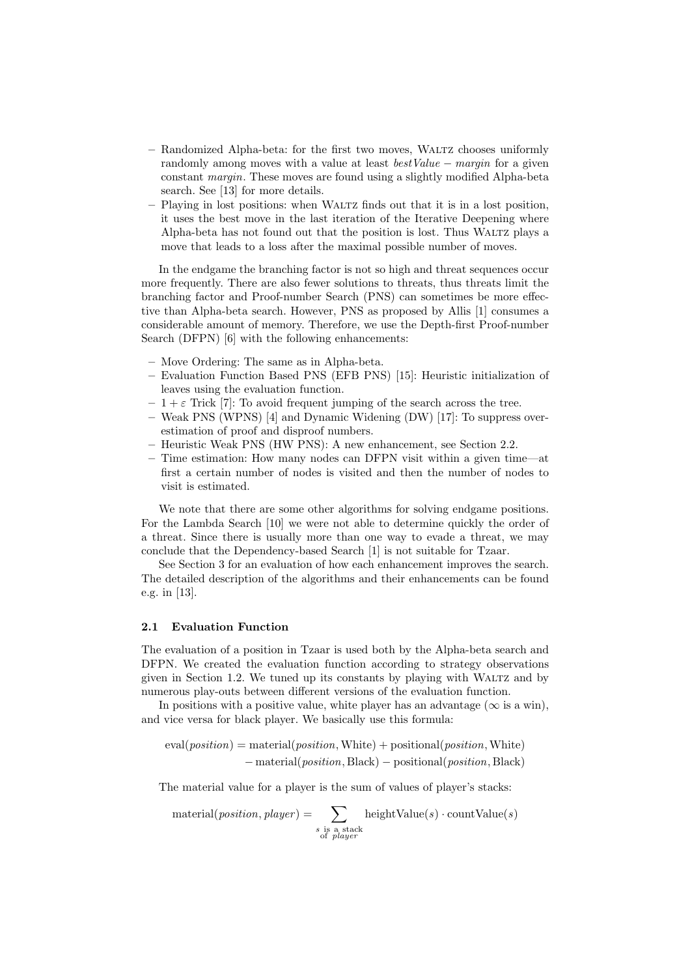- Randomized Alpha-beta: for the first two moves, Waltz chooses uniformly randomly among moves with a value at least  $bestValue - margin$  for a given constant margin. These moves are found using a slightly modified Alpha-beta search. See [13] for more details.
- Playing in lost positions: when Waltz finds out that it is in a lost position, it uses the best move in the last iteration of the Iterative Deepening where Alpha-beta has not found out that the position is lost. Thus Waltz plays a move that leads to a loss after the maximal possible number of moves.

In the endgame the branching factor is not so high and threat sequences occur more frequently. There are also fewer solutions to threats, thus threats limit the branching factor and Proof-number Search (PNS) can sometimes be more effective than Alpha-beta search. However, PNS as proposed by Allis [1] consumes a considerable amount of memory. Therefore, we use the Depth-first Proof-number Search (DFPN) [6] with the following enhancements:

- Move Ordering: The same as in Alpha-beta.
- Evaluation Function Based PNS (EFB PNS) [15]: Heuristic initialization of leaves using the evaluation function.
- $-1+\varepsilon$  Trick [7]: To avoid frequent jumping of the search across the tree.
- Weak PNS (WPNS) [4] and Dynamic Widening (DW) [17]: To suppress overestimation of proof and disproof numbers.
- Heuristic Weak PNS (HW PNS): A new enhancement, see Section 2.2.
- Time estimation: How many nodes can DFPN visit within a given time—at first a certain number of nodes is visited and then the number of nodes to visit is estimated.

We note that there are some other algorithms for solving endgame positions. For the Lambda Search [10] we were not able to determine quickly the order of a threat. Since there is usually more than one way to evade a threat, we may conclude that the Dependency-based Search [1] is not suitable for Tzaar.

See Section 3 for an evaluation of how each enhancement improves the search. The detailed description of the algorithms and their enhancements can be found e.g. in [13].

#### 2.1 Evaluation Function

The evaluation of a position in Tzaar is used both by the Alpha-beta search and DFPN. We created the evaluation function according to strategy observations given in Section 1.2. We tuned up its constants by playing with Waltz and by numerous play-outs between different versions of the evaluation function.

In positions with a positive value, white player has an advantage ( $\infty$  is a win), and vice versa for black player. We basically use this formula:

 $eval(position) = material(position, White) + positional(position, White)$ − material(position, Black) − positional(position, Black)

The material value for a player is the sum of values of player's stacks:

material(*position*, *player*) = 
$$
\sum_{\substack{s \text{ is a stack} \\ \text{of player}}} \text{heightValue}(s) \cdot \text{countValue}(s)
$$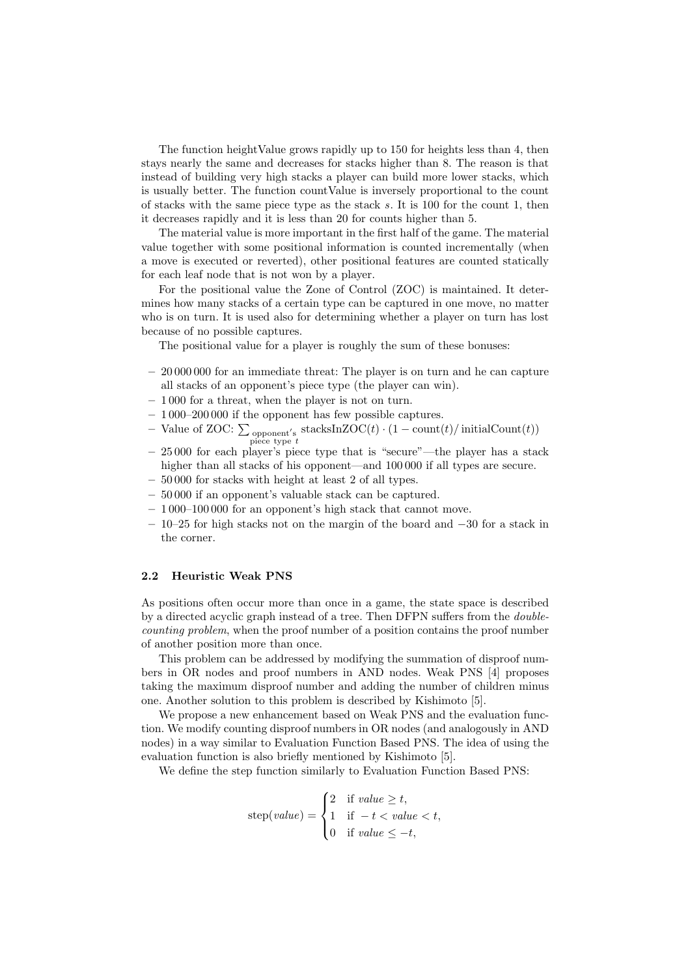The function heightValue grows rapidly up to 150 for heights less than 4, then stays nearly the same and decreases for stacks higher than 8. The reason is that instead of building very high stacks a player can build more lower stacks, which is usually better. The function countValue is inversely proportional to the count of stacks with the same piece type as the stack s. It is 100 for the count 1, then it decreases rapidly and it is less than 20 for counts higher than 5.

The material value is more important in the first half of the game. The material value together with some positional information is counted incrementally (when a move is executed or reverted), other positional features are counted statically for each leaf node that is not won by a player.

For the positional value the Zone of Control (ZOC) is maintained. It determines how many stacks of a certain type can be captured in one move, no matter who is on turn. It is used also for determining whether a player on turn has lost because of no possible captures.

The positional value for a player is roughly the sum of these bonuses:

- 20 000 000 for an immediate threat: The player is on turn and he can capture all stacks of an opponent's piece type (the player can win).
- 1 000 for a threat, when the player is not on turn.
- $-1000-200000$  if the opponent has few possible captures.
- Value of ZOC:  $\sum$  opponent's stacksInZOC(t) · (1 count(t)/ initialCount(t)) piece type  $t$
- $-25000$  for each player's piece type that is "secure"—the player has a stack higher than all stacks of his opponent—and 100 000 if all types are secure.
- 50 000 for stacks with height at least 2 of all types.
- 50 000 if an opponent's valuable stack can be captured.
- 1 000–100 000 for an opponent's high stack that cannot move.
- 10–25 for high stacks not on the margin of the board and −30 for a stack in the corner.

#### 2.2 Heuristic Weak PNS

As positions often occur more than once in a game, the state space is described by a directed acyclic graph instead of a tree. Then DFPN suffers from the doublecounting problem, when the proof number of a position contains the proof number of another position more than once.

This problem can be addressed by modifying the summation of disproof numbers in OR nodes and proof numbers in AND nodes. Weak PNS [4] proposes taking the maximum disproof number and adding the number of children minus one. Another solution to this problem is described by Kishimoto [5].

We propose a new enhancement based on Weak PNS and the evaluation function. We modify counting disproof numbers in OR nodes (and analogously in AND nodes) in a way similar to Evaluation Function Based PNS. The idea of using the evaluation function is also briefly mentioned by Kishimoto [5].

We define the step function similarly to Evaluation Function Based PNS:

$$
step(value) = \begin{cases} 2 & \text{if value} \ge t, \\ 1 & \text{if } -t < value < t, \\ 0 & \text{if value} \le -t, \end{cases}
$$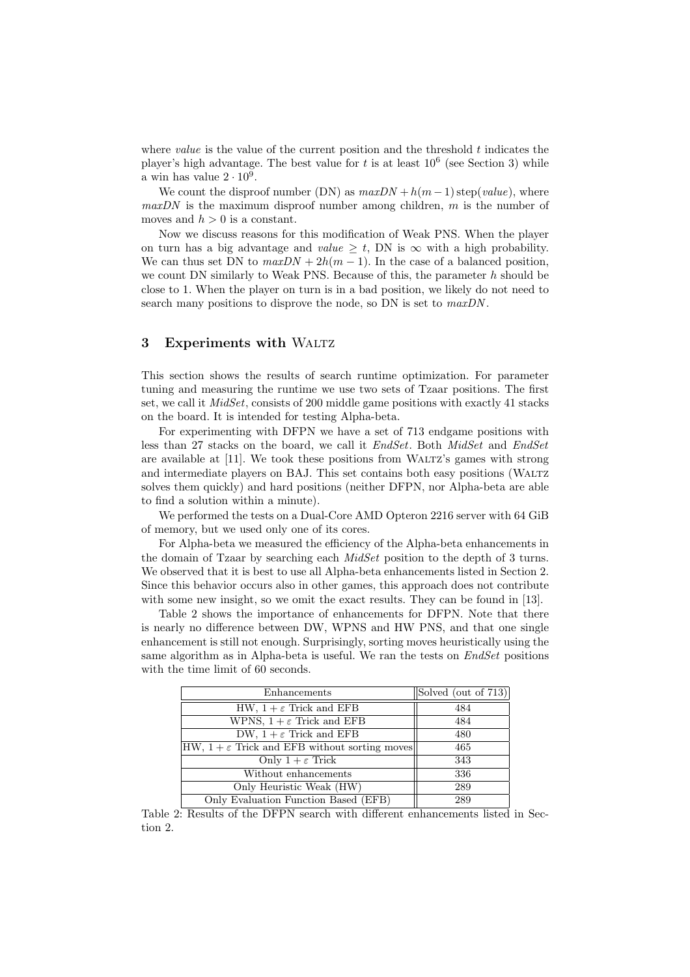where value is the value of the current position and the threshold  $t$  indicates the player's high advantage. The best value for t is at least  $10^6$  (see Section 3) while a win has value  $2 \cdot 10^9$ .

We count the disproof number (DN) as  $maxDN + h(m-1)$  step(value), where  $maxDN$  is the maximum disproof number among children, m is the number of moves and  $h > 0$  is a constant.

Now we discuss reasons for this modification of Weak PNS. When the player on turn has a big advantage and value  $\geq t$ , DN is  $\infty$  with a high probability. We can thus set DN to  $maxDN + 2h(m - 1)$ . In the case of a balanced position, we count DN similarly to Weak PNS. Because of this, the parameter  $h$  should be close to 1. When the player on turn is in a bad position, we likely do not need to search many positions to disprove the node, so DN is set to  $maxDN$ .

## 3 Experiments with WALTZ

This section shows the results of search runtime optimization. For parameter tuning and measuring the runtime we use two sets of Tzaar positions. The first set, we call it MidSet, consists of 200 middle game positions with exactly 41 stacks on the board. It is intended for testing Alpha-beta.

For experimenting with DFPN we have a set of 713 endgame positions with less than 27 stacks on the board, we call it EndSet. Both MidSet and EndSet are available at [11]. We took these positions from Waltz's games with strong and intermediate players on BAJ. This set contains both easy positions (Waltz solves them quickly) and hard positions (neither DFPN, nor Alpha-beta are able to find a solution within a minute).

We performed the tests on a Dual-Core AMD Opteron 2216 server with 64 GiB of memory, but we used only one of its cores.

For Alpha-beta we measured the efficiency of the Alpha-beta enhancements in the domain of Tzaar by searching each MidSet position to the depth of 3 turns. We observed that it is best to use all Alpha-beta enhancements listed in Section 2. Since this behavior occurs also in other games, this approach does not contribute with some new insight, so we omit the exact results. They can be found in [13].

Table 2 shows the importance of enhancements for DFPN. Note that there is nearly no difference between DW, WPNS and HW PNS, and that one single enhancement is still not enough. Surprisingly, sorting moves heuristically using the same algorithm as in Alpha-beta is useful. We ran the tests on *EndSet* positions with the time limit of 60 seconds.

| Enhancements                                              | $\sim$ Solved (out of 713) |
|-----------------------------------------------------------|----------------------------|
| HW, $1 + \varepsilon$ Trick and EFB                       | 484                        |
| WPNS, $1 + \varepsilon$ Trick and EFB                     | 484                        |
| DW, $1 + \varepsilon$ Trick and EFB                       | 480                        |
| HW, $1 + \varepsilon$ Trick and EFB without sorting moves | 465                        |
| Only $1 + \varepsilon$ Trick                              | 343                        |
| Without enhancements                                      | 336                        |
| Only Heuristic Weak (HW)                                  | 289                        |
| Only Evaluation Function Based (EFB)                      | 289                        |

Table 2: Results of the DFPN search with different enhancements listed in Section 2.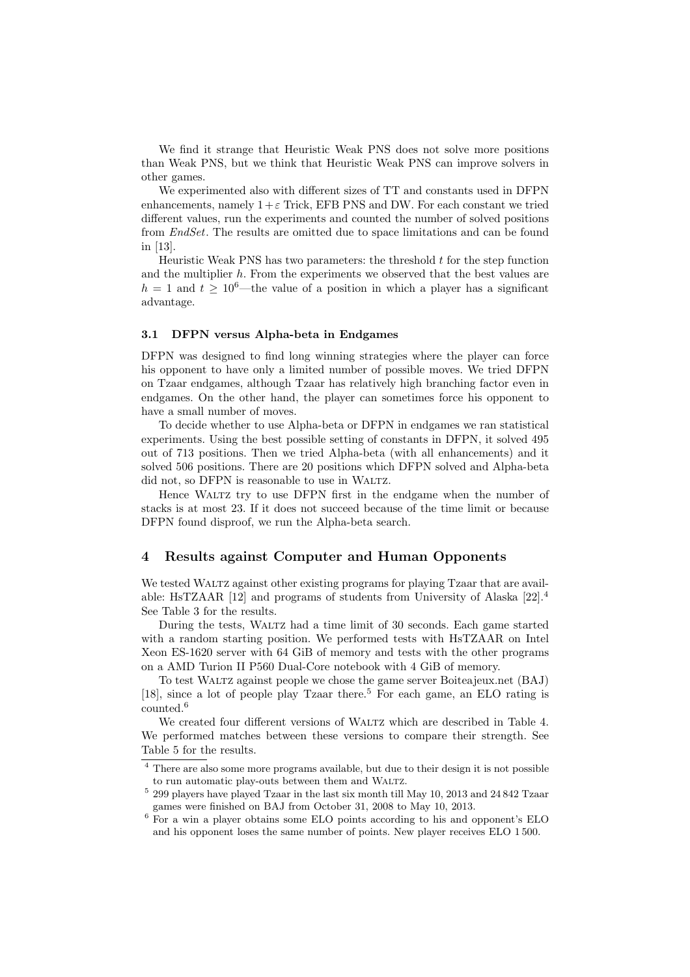We find it strange that Heuristic Weak PNS does not solve more positions than Weak PNS, but we think that Heuristic Weak PNS can improve solvers in other games.

We experimented also with different sizes of TT and constants used in DFPN enhancements, namely  $1+\varepsilon$  Trick, EFB PNS and DW. For each constant we tried different values, run the experiments and counted the number of solved positions from EndSet. The results are omitted due to space limitations and can be found in [13].

Heuristic Weak PNS has two parameters: the threshold  $t$  for the step function and the multiplier  $h$ . From the experiments we observed that the best values are  $h = 1$  and  $t \ge 10^6$ —the value of a position in which a player has a significant advantage.

#### 3.1 DFPN versus Alpha-beta in Endgames

DFPN was designed to find long winning strategies where the player can force his opponent to have only a limited number of possible moves. We tried DFPN on Tzaar endgames, although Tzaar has relatively high branching factor even in endgames. On the other hand, the player can sometimes force his opponent to have a small number of moves.

To decide whether to use Alpha-beta or DFPN in endgames we ran statistical experiments. Using the best possible setting of constants in DFPN, it solved 495 out of 713 positions. Then we tried Alpha-beta (with all enhancements) and it solved 506 positions. There are 20 positions which DFPN solved and Alpha-beta did not, so DFPN is reasonable to use in Waltz.

Hence Waltz try to use DFPN first in the endgame when the number of stacks is at most 23. If it does not succeed because of the time limit or because DFPN found disproof, we run the Alpha-beta search.

### 4 Results against Computer and Human Opponents

We tested WALTZ against other existing programs for playing Tzaar that are available: HsTZAAR [12] and programs of students from University of Alaska [22].<sup>4</sup> See Table 3 for the results.

During the tests, Waltz had a time limit of 30 seconds. Each game started with a random starting position. We performed tests with HsTZAAR on Intel Xeon ES-1620 server with 64 GiB of memory and tests with the other programs on a AMD Turion II P560 Dual-Core notebook with 4 GiB of memory.

To test Waltz against people we chose the game server Boiteajeux.net (BAJ) [18], since a lot of people play Tzaar there.<sup>5</sup> For each game, an ELO rating is counted.<sup>6</sup>

We created four different versions of Waltz which are described in Table 4. We performed matches between these versions to compare their strength. See Table 5 for the results.

<sup>4</sup> There are also some more programs available, but due to their design it is not possible to run automatic play-outs between them and Waltz.

<sup>5</sup> 299 players have played Tzaar in the last six month till May 10, 2013 and 24 842 Tzaar games were finished on BAJ from October 31, 2008 to May 10, 2013.

 $6$  For a win a player obtains some ELO points according to his and opponent's ELO and his opponent loses the same number of points. New player receives ELO 1 500.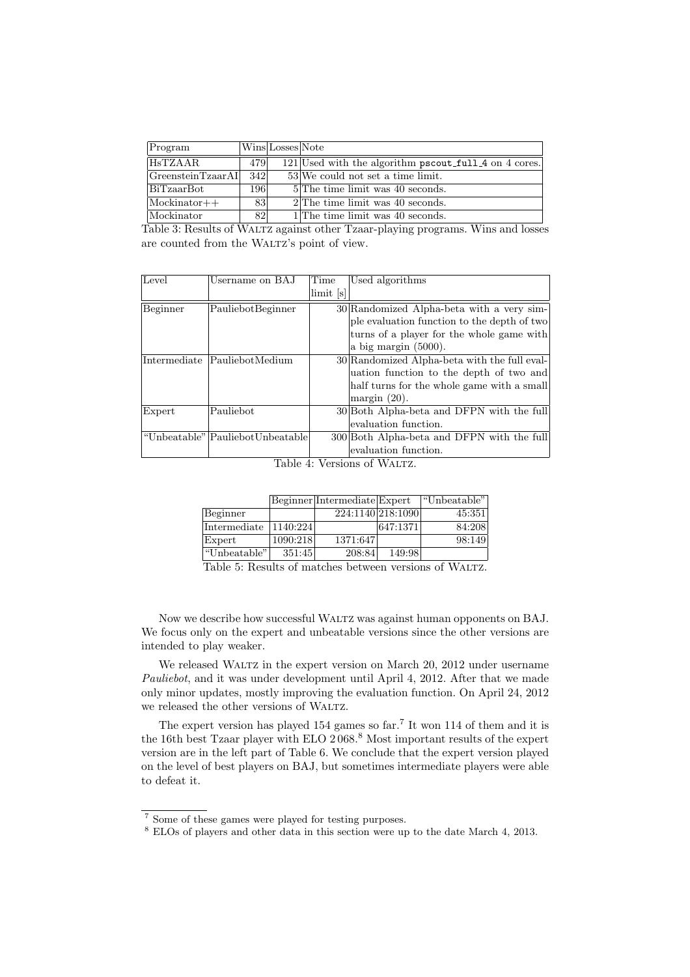| Program           |      | Wins Losses Note |                                                         |
|-------------------|------|------------------|---------------------------------------------------------|
| HSTZAAR           | 479  |                  | $121$ Used with the algorithm pscout full 4 on 4 cores. |
| GreensteinTzaarAI | 342  |                  | 53 We could not set a time limit.                       |
| BiTzaarBot        | 1961 |                  | 5 The time limit was 40 seconds.                        |
| $Mockinator++$    | 83   |                  | 2 The time limit was 40 seconds.                        |
| Mockinator        | 821  |                  | $1$ The time limit was 40 seconds.                      |

Table 3: Results of Waltz against other Tzaar-playing programs. Wins and losses are counted from the WALTZ's point of view.

| Level    | Username on BAJ                     | Time      | Used algorithms                              |
|----------|-------------------------------------|-----------|----------------------------------------------|
|          |                                     | limit [s] |                                              |
| Beginner | PauliebotBeginner                   |           | 30 Randomized Alpha-beta with a very sim-    |
|          |                                     |           | ple evaluation function to the depth of two  |
|          |                                     |           | turns of a player for the whole game with    |
|          |                                     |           | a big margin $(5000)$ .                      |
|          | Intermediate PauliebotMedium        |           | 30 Randomized Alpha-beta with the full eval- |
|          |                                     |           | uation function to the depth of two and      |
|          |                                     |           | half turns for the whole game with a small   |
|          |                                     |           | margin $(20)$ .                              |
| Expert   | Pauliebot                           |           | 30 Both Alpha-beta and DFPN with the full    |
|          |                                     |           | evaluation function.                         |
|          | "Unbeatable"   Pauliebot Unbeatable |           | 300 Both Alpha-beta and DFPN with the full   |
|          |                                     |           | evaluation function.                         |

Table 4: Versions of Waltz.

|              |          | Beginner Intermediate Expert |                   | "Unbeatable" |
|--------------|----------|------------------------------|-------------------|--------------|
| Beginner     |          |                              | 224:1140 218:1090 | 45:351       |
| Intermediate | 1140:224 |                              | 647:1371          | 84:208       |
| Expert       | 1090:218 | 1371:647                     |                   | 98:149       |
| "Unbeatable" | 351:45   | 208:84                       | 149:98            |              |

Table 5: Results of matches between versions of Waltz.

Now we describe how successful Waltz was against human opponents on BAJ. We focus only on the expert and unbeatable versions since the other versions are intended to play weaker.

We released WALTZ in the expert version on March 20, 2012 under username Pauliebot, and it was under development until April 4, 2012. After that we made only minor updates, mostly improving the evaluation function. On April 24, 2012 we released the other versions of WALTZ.

The expert version has played 154 games so far.<sup>7</sup> It won 114 of them and it is the 16th best Tzaar player with ELO 2068.<sup>8</sup> Most important results of the expert version are in the left part of Table 6. We conclude that the expert version played on the level of best players on BAJ, but sometimes intermediate players were able to defeat it.

<sup>7</sup> Some of these games were played for testing purposes.

<sup>8</sup> ELOs of players and other data in this section were up to the date March 4, 2013.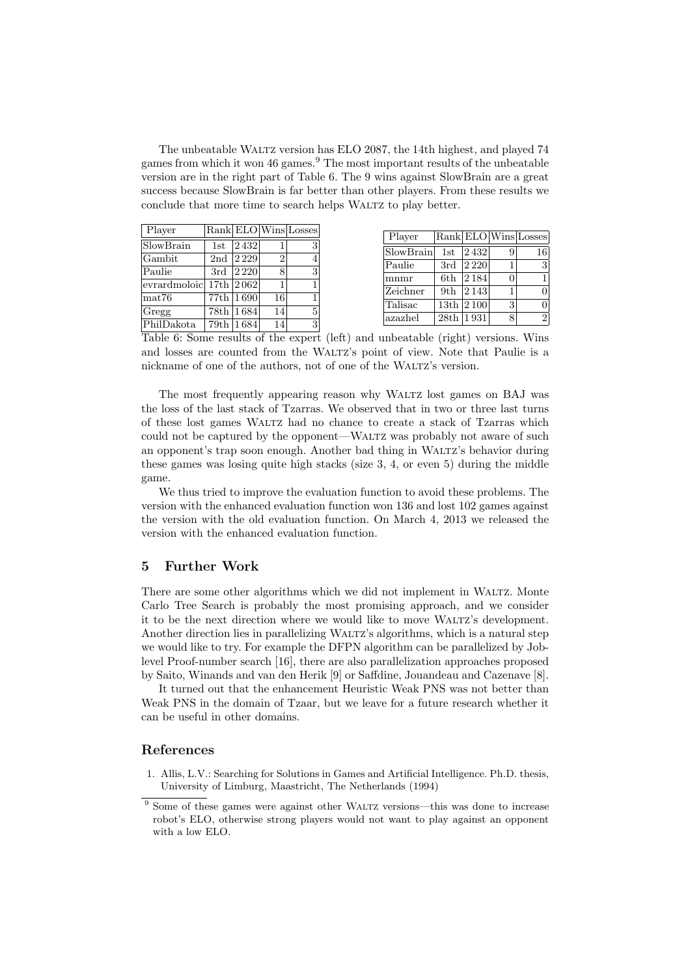The unbeatable Waltz version has ELO 2087, the 14th highest, and played 74 games from which it won 46 games. $9$  The most important results of the unbeatable version are in the right part of Table 6. The 9 wins against SlowBrain are a great success because SlowBrain is far better than other players. From these results we conclude that more time to search helps Waltz to play better.

| Player                            |     |           |                | Rank ELO Wins Losses |
|-----------------------------------|-----|-----------|----------------|----------------------|
| SlowBrain                         | 1st | 2432      |                | 3                    |
| Gambit                            | 2nd | 2229      | $\overline{2}$ | 4                    |
| Paulie                            | 3rd | 2220      | 8              | 3                    |
| evrardmoloic $17th$ $\sqrt{2062}$ |     |           | 1              | $\mathbf{1}$         |
| $\text{mat}76$                    |     | 77th 1690 | 16             | $\mathbf{1}$         |
| Gregg                             |     | 78th 1684 | 14             | $\overline{5}$       |
| $\vert$ PhilDakota                |     | 79th 1684 | 14             | 3                    |

| Player    |     |                |   | Rank ELO Wins Losses        |
|-----------|-----|----------------|---|-----------------------------|
| SlowBrain | 1st | 2432           | 9 | 16                          |
| Paulie    | 3rd | 2 2 2 0        |   | 3                           |
| mnmr      | 6th | 2184           | 0 |                             |
| Zeichner  | 9th | 2 1 4 3        | 1 |                             |
| Talisac   |     | $13th$ $ 2100$ | 3 |                             |
| azazhel   |     | 28th 1931      | 8 | $\mathcal{D}_{\mathcal{L}}$ |

Table 6: Some results of the expert (left) and unbeatable (right) versions. Wins and losses are counted from the Waltz's point of view. Note that Paulie is a nickname of one of the authors, not of one of the WALTZ's version.

The most frequently appearing reason why Waltz lost games on BAJ was the loss of the last stack of Tzarras. We observed that in two or three last turns of these lost games Waltz had no chance to create a stack of Tzarras which could not be captured by the opponent—Waltz was probably not aware of such an opponent's trap soon enough. Another bad thing in Waltz's behavior during these games was losing quite high stacks (size 3, 4, or even 5) during the middle game.

We thus tried to improve the evaluation function to avoid these problems. The version with the enhanced evaluation function won 136 and lost 102 games against the version with the old evaluation function. On March 4, 2013 we released the version with the enhanced evaluation function.

# 5 Further Work

There are some other algorithms which we did not implement in Waltz. Monte Carlo Tree Search is probably the most promising approach, and we consider it to be the next direction where we would like to move Waltz's development. Another direction lies in parallelizing Waltz's algorithms, which is a natural step we would like to try. For example the DFPN algorithm can be parallelized by Joblevel Proof-number search [16], there are also parallelization approaches proposed by Saito, Winands and van den Herik [9] or Saffdine, Jouandeau and Cazenave [8].

It turned out that the enhancement Heuristic Weak PNS was not better than Weak PNS in the domain of Tzaar, but we leave for a future research whether it can be useful in other domains.

### References

1. Allis, L.V.: Searching for Solutions in Games and Artificial Intelligence. Ph.D. thesis, University of Limburg, Maastricht, The Netherlands (1994)

<sup>9</sup> Some of these games were against other Waltz versions—this was done to increase robot's ELO, otherwise strong players would not want to play against an opponent with a low ELO.